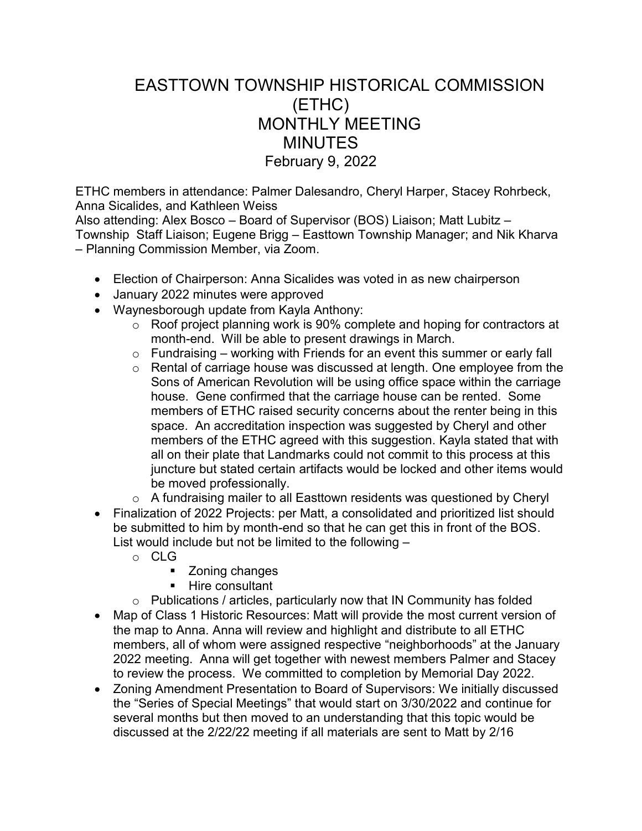## EASTTOWN TOWNSHIP HISTORICAL COMMISSION (ETHC) MONTHLY MEETING **MINUTES** February 9, 2022

ETHC members in attendance: Palmer Dalesandro, Cheryl Harper, Stacey Rohrbeck, Anna Sicalides, and Kathleen Weiss

Also attending: Alex Bosco – Board of Supervisor (BOS) Liaison; Matt Lubitz – Township Staff Liaison; Eugene Brigg – Easttown Township Manager; and Nik Kharva – Planning Commission Member, via Zoom.

- Election of Chairperson: Anna Sicalides was voted in as new chairperson
- January 2022 minutes were approved
- Waynesborough update from Kayla Anthony:
	- $\circ$  Roof project planning work is 90% complete and hoping for contractors at month-end. Will be able to present drawings in March.
	- $\circ$  Fundraising working with Friends for an event this summer or early fall
	- o Rental of carriage house was discussed at length. One employee from the Sons of American Revolution will be using office space within the carriage house. Gene confirmed that the carriage house can be rented. Some members of ETHC raised security concerns about the renter being in this space. An accreditation inspection was suggested by Cheryl and other members of the ETHC agreed with this suggestion. Kayla stated that with all on their plate that Landmarks could not commit to this process at this juncture but stated certain artifacts would be locked and other items would be moved professionally.
	- o A fundraising mailer to all Easttown residents was questioned by Cheryl
- Finalization of 2022 Projects: per Matt, a consolidated and prioritized list should be submitted to him by month-end so that he can get this in front of the BOS. List would include but not be limited to the following –
	- o CLG
		- **EXECONING** Zoning changes
		- **Hire consultant**
	- o Publications / articles, particularly now that IN Community has folded
- Map of Class 1 Historic Resources: Matt will provide the most current version of the map to Anna. Anna will review and highlight and distribute to all ETHC members, all of whom were assigned respective "neighborhoods" at the January 2022 meeting. Anna will get together with newest members Palmer and Stacey to review the process. We committed to completion by Memorial Day 2022.
- Zoning Amendment Presentation to Board of Supervisors: We initially discussed the "Series of Special Meetings" that would start on 3/30/2022 and continue for several months but then moved to an understanding that this topic would be discussed at the 2/22/22 meeting if all materials are sent to Matt by 2/16